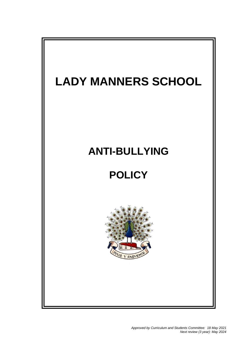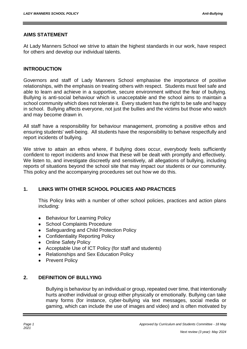### **AIMS STATEMENT**

At Lady Manners School we strive to attain the highest standards in our work, have respect for others and develop our individual talents.

### **INTRODUCTION**

Governors and staff of Lady Manners School emphasise the importance of positive relationships, with the emphasis on treating others with respect. Students must feel safe and able to learn and achieve in a supportive, secure environment without the fear of bullying. Bullying is anti-social behaviour which is unacceptable and the school aims to maintain a school community which does not tolerate it. Every student has the right to be safe and happy in school. Bullying affects everyone, not just the bullies and the victims but those who watch and may become drawn in.

All staff have a responsibility for behaviour management, promoting a positive ethos and ensuring students' well-being. All students have the responsibility to behave respectfully and report incidents of bullying.

We strive to attain an ethos where, if bullying does occur, everybody feels sufficiently confident to report incidents and know that these will be dealt with promptly and effectively. We listen to, and investigate discreetly and sensitively, all allegations of bullying, including reports of situations beyond the school site that may impact our students or our community. This policy and the accompanying procedures set out how we do this.

## **1. LINKS WITH OTHER SCHOOL POLICIES AND PRACTICES**

This Policy links with a number of other school policies, practices and action plans including:

- Behaviour for Learning Policy
- School Complaints Procedure
- Safeguarding and Child Protection Policy
- Confidentiality Reporting Policy
- Online Safety Policy
- Acceptable Use of ICT Policy (for staff and students)
- Relationships and Sex Education Policy
- Prevent Policy

#### **2. DEFINITION OF BULLYING**

Bullying is behaviour by an individual or group, repeated over time, that intentionally hurts another individual or group either physically or emotionally. Bullying can take many forms (for instance, cyber-bullying via text messages, social media or gaming, which can include the use of images and video) and is often motivated by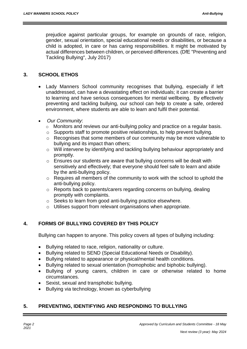prejudice against particular groups, for example on grounds of race, religion, gender, sexual orientation, special educational needs or disabilities, or because a child is adopted, in care or has caring responsibilities. It might be motivated by actual differences between children, or perceived differences. (DfE "Preventing and Tackling Bullying", July 2017)

# **3. SCHOOL ETHOS**

- Lady Manners School community recognises that bullying, especially if left unaddressed, can have a devastating effect on individuals; it can create a barrier to learning and have serious consequences for mental wellbeing. By effectively preventing and tackling bullying, our school can help to create a safe, ordered environment, where students are able to learn and fulfil their potential.
- *Our Community*:
	- o Monitors and reviews our anti-bullying policy and practice on a regular basis.
	- o Supports staff to promote positive relationships, to help prevent bullying.
	- o Recognises that some members of our community may be more vulnerable to bullying and its impact than others;
	- o Will intervene by identifying and tackling bullying behaviour appropriately and promptly.
	- o Ensures our students are aware that bullying concerns will be dealt with sensitively and effectively; that everyone should feel safe to learn and abide by the anti-bullying policy.
	- o Requires all members of the community to work with the school to uphold the anti-bullying policy.
	- o Reports back to parents/carers regarding concerns on bullying, dealing promptly with complaints.
	- o Seeks to learn from good anti-bullying practice elsewhere.
	- o Utilises support from relevant organisations when appropriate.

# **4. FORMS OF BULLYING COVERED BY THIS POLICY**

Bullying can happen to anyone. This policy covers all types of bullying including:

- Bullying related to race, religion, nationality or culture.
- Bullying related to SEND (Special Educational Needs or Disability).
- Bullying related to appearance or physical/mental health conditions.
- Bullying related to sexual orientation (homophobic and biphobic bullying).
- Bullying of young carers, children in care or otherwise related to home circumstances.
- Sexist, sexual and transphobic bullying.
- Bullying via technology, known as cyberbullying

# **5. PREVENTING, IDENTIFYING AND RESPONDING TO BULLYING**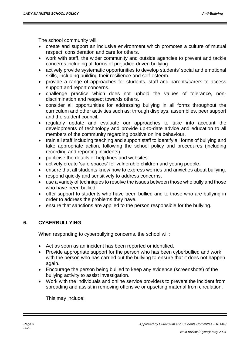The school community will:

- create and support an inclusive environment which promotes a culture of mutual respect, consideration and care for others.
- work with staff, the wider community and outside agencies to prevent and tackle concerns including all forms of prejudice-driven bullying.
- actively provide systematic opportunities to develop students' social and emotional skills, including building their resilience and self-esteem.
- provide a range of approaches for students, staff and parents/carers to access support and report concerns.
- challenge practice which does not uphold the values of tolerance, nondiscrimination and respect towards others.
- consider all opportunities for addressing bullying in all forms throughout the curriculum and other activities such as: through displays, assemblies, peer support and the student council.
- regularly update and evaluate our approaches to take into account the developments of technology and provide up-to-date advice and education to all members of the community regarding positive online behaviour.
- train all staff including teaching and support staff to identify all forms of bullying and take appropriate action, following the school policy and procedures (including recording and reporting incidents).
- publicise the details of help lines and websites.
- actively create 'safe spaces' for vulnerable children and young people.
- ensure that all students know how to express worries and anxieties about bullying.
- respond quickly and sensitively to address concerns.
- use a variety of techniques to resolve the issues between those who bully and those who have been bullied.
- offer support to students who have been bullied and to those who are bullying in order to address the problems they have.
- ensure that sanctions are applied to the person responsible for the bullying.

# **6. CYBERBULLYING**

When responding to cyberbullying concerns, the school will:

- Act as soon as an incident has been reported or identified.
- Provide appropriate support for the person who has been cyberbullied and work with the person who has carried out the bullying to ensure that it does not happen again.
- Encourage the person being bullied to keep any evidence (screenshots) of the bullying activity to assist investigation.
- Work with the individuals and online service providers to prevent the incident from spreading and assist in removing offensive or upsetting material from circulation.

This may include: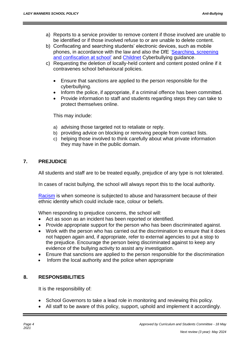- a) Reports to a service provider to remove content if those involved are unable to be identified or if those involved refuse to or are unable to delete content.
- b) Confiscating and searching students' electronic devices, such as mobile phones, in accordance with the law and also the DfE ['Searching, screening](https://www.gov.uk/government/publications/searching-screening-and-confiscation)  [and confiscation at school'](https://www.gov.uk/government/publications/searching-screening-and-confiscation) an[d](http://www.childnet.com/resources/cyberbullying-guidance-for-schools) [Childnet](http://www.childnet.com/resources/cyberbullying-guidance-for-schools) [C](http://www.childnet.com/resources/cyberbullying-guidance-for-schools)yberbullying guidance.
- c) Requesting the deletion of locally-held content and content posted online if it contravenes school behavioural policies.
	- Ensure that sanctions are applied to the person responsible for the cyberbullying.
	- Inform the police, if appropriate, if a criminal offence has been committed.
	- Provide information to staff and students regarding steps they can take to protect themselves online.

This may include:

- a) advising those targeted not to retaliate or reply.
- b) providing advice on blocking or removing people from contact lists.
- c) helping those involved to think carefully about what private information they may have in the public domain.

# **7. PREJUDICE**

All students and staff are to be treated equally, prejudice of any type is not tolerated.

In cases of racist bullying, the school will always report this to the local authority.

[Racism](http://www.bullying.co.uk/advice/parents-advice/racism) is when someone is subjected to abuse and harassment because of their ethnic identity which could include race, colour or beliefs.

When responding to prejudice concerns, the school will:

- Act as soon as an incident has been reported or identified.
- Provide appropriate support for the person who has been discriminated against.
- Work with the person who has carried out the discrimination to ensure that it does not happen again and, if appropriate, refer to external agencies to put a stop to the prejudice. Encourage the person being discriminated against to keep any evidence of the bullying activity to assist any investigation.
- Ensure that sanctions are applied to the person responsible for the discrimination
- Inform the local authority and the police when appropriate

## **8. RESPONSIBILITIES**

It is the responsibility of:

- School Governors to take a lead role in monitoring and reviewing this policy.
- All staff to be aware of this policy, support, uphold and implement it accordingly.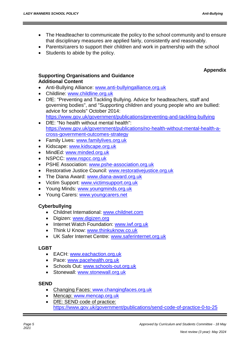- The Headteacher to communicate the policy to the school community and to ensure that disciplinary measures are applied fairly, consistently and reasonably.
- Parents/carers to support their children and work in partnership with the school
- Students to abide by the policy.

# **Appendix**

### **Supporting Organisations and Guidance Additional Content**

- Anti-Bullying Alliance: [www.anti-bullyingalliance.org.uk](http://www.anti-bullyingalliance.org.uk/)
- Childline: [www.childline.org.uk](http://www.childline.org.uk/)
- DfE: "Preventing and Tackling Bullying. Advice for headteachers, staff and governing bodies", and ["Supporting children and young people who are bullied:](https://www.gov.uk/government/uploads/system/uploads/attachment_data/file/292505/supporting_bullied_children_advice.pdf)  [advice for schools"](https://www.gov.uk/government/uploads/system/uploads/attachment_data/file/292505/supporting_bullied_children_advice.pdf) October 2014:
- <https://www.gov.uk/government/publications/preventing-and-tackling-bullying> DfE: "No health without mental health": [https://www.gov.uk/government/publications/no-health-without-mental-health-a-](https://www.gov.uk/government/publications/no-health-without-mental-health-a-cross-government-outcomes-strategy)
- [cross-government-outcomes-strategy](https://www.gov.uk/government/publications/no-health-without-mental-health-a-cross-government-outcomes-strategy)
- Family Lives: [www.familylives.org.uk](http://www.familylives.org.uk/)
- Kidscape: [www.kidscape.org.uk](http://www.kidscape.org.uk/)
- MindEd: [www.minded.org.uk](http://www.minded.org.uk/)
- NSPCC: [www.nspcc.org.uk](http://www.nspcc.org.uk/)
- PSHE Association: [www.pshe-association.org.uk](http://www.pshe-association.org.uk/)
- Restorative Justice Council: [www.restorativejustice.org.uk](http://www.restorativejustice.org.uk/)
- The Diana Award: [www.diana-award.org.uk](http://www.diana-award.org.uk/)
- Victim Support: [www.victimsupport.org.uk](http://www.victimsupport.org.uk/)
- Young Minds: [www.youngminds.org.uk](http://www.youngminds.org.uk/)
- Young Carers: [www.youngcarers.net](http://www.youngcarers.net/)

## **Cyberbullying**

- Childnet International: [www.childnet.com](http://www.childnet.com/)
- Digizen: [www.digizen.org](http://www.digizen.org/)
- Internet Watch Foundation: [www.iwf.org.uk](http://www.iwf.org.uk/)
- Think U Know: [www.thinkuknow.co.uk](http://www.thinkuknow.co.uk/)
- UK Safer Internet Centre: [www.saferinternet.org.uk](http://www.saferinternet.org.uk/)

#### **LGBT**

- EACH: [www.eachaction.org.uk](http://www.eachaction.org.uk/)
- Pace: [www.pacehealth.org.uk](http://www.pacehealth.org.uk/)
- Schools Out: [www.schools-out.org.uk](http://www.schools-out.org.uk/)
- Stonewall: [www.stonewall.org.uk](http://www.stonewall.org.uk/)

#### **SEND**

- Changing Faces: [www.changingfaces.org.uk](http://www.changingfaces.org.uk/)
- Mencap: [www.mencap.org.uk](http://www.mencap.org.uk/)
- DfE: SEND code of practice: <https://www.gov.uk/government/publications/send-code-of-practice-0-to-25>